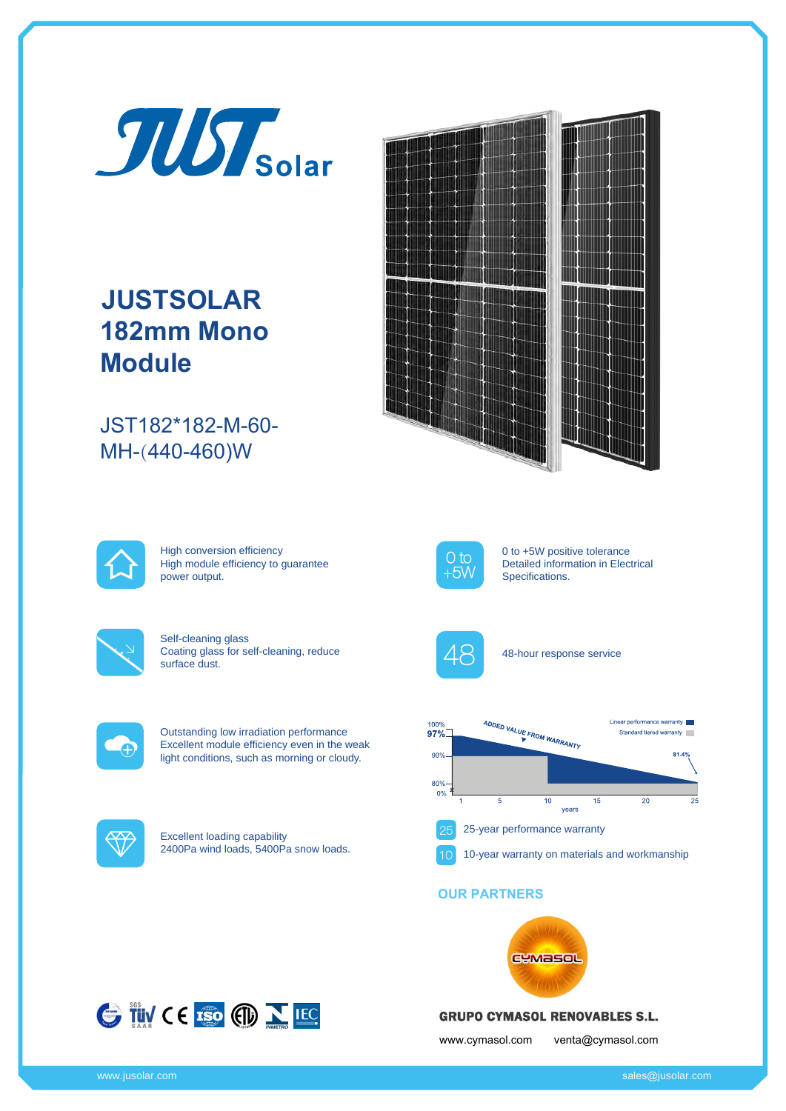

# **JUSTSOLAR 182mm Mono Module**

JST182\*182-M-60- MH-(440-460)W





High conversion efficiency High module efficiency to guarantee power output.



Self-cleaning glass Coating glass for self-cleaning, reduce surface dust.



Outstanding low irradiation performance Excellent module efficiency even in the weak light conditions, such as morning or cloudy.



Excellent loading capability 2400Pa wind loads, 5400Pa snow loads.



0 to +5W positive tolerance Detailed information in Electrical Specifications.



48-hour response service



### **OUR PARTNERS**





## **GRUPO CYMASOL RENOVABLES S.L.**

www.cymasol.com venta@cymasol.com